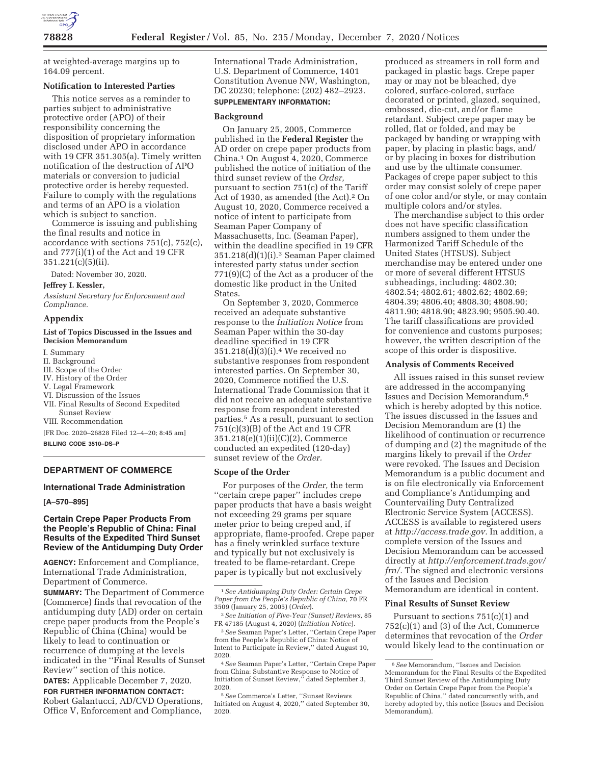

at weighted-average margins up to 164.09 percent.

#### **Notification to Interested Parties**

This notice serves as a reminder to parties subject to administrative protective order (APO) of their responsibility concerning the disposition of proprietary information disclosed under APO in accordance with 19 CFR 351.305(a). Timely written notification of the destruction of APO materials or conversion to judicial protective order is hereby requested. Failure to comply with the regulations and terms of an APO is a violation which is subject to sanction.

Commerce is issuing and publishing the final results and notice in accordance with sections 751(c), 752(c), and 777(i)(1) of the Act and 19 CFR 351.221(c)(5)(ii).

Dated: November 30, 2020.

# **Jeffrey I. Kessler,**

*Assistant Secretary for Enforcement and Compliance.* 

### **Appendix**

#### **List of Topics Discussed in the Issues and Decision Memorandum**

I. Summary

- II. Background
- III. Scope of the Order
- IV. History of the Order
- V. Legal Framework
- VI. Discussion of the Issues
- VII. Final Results of Second Expedited Sunset Review
- VIII. Recommendation

[FR Doc. 2020–26828 Filed 12–4–20; 8:45 am]

**BILLING CODE 3510–DS–P** 

## **DEPARTMENT OF COMMERCE**

### **International Trade Administration**

**[A–570–895]** 

### **Certain Crepe Paper Products From the People's Republic of China: Final Results of the Expedited Third Sunset Review of the Antidumping Duty Order**

**AGENCY:** Enforcement and Compliance, International Trade Administration, Department of Commerce.

**SUMMARY:** The Department of Commerce (Commerce) finds that revocation of the antidumping duty (AD) order on certain crepe paper products from the People's Republic of China (China) would be likely to lead to continuation or recurrence of dumping at the levels indicated in the ''Final Results of Sunset Review'' section of this notice.

**DATES:** Applicable December 7, 2020. **FOR FURTHER INFORMATION CONTACT:**  Robert Galantucci, AD/CVD Operations, Office V, Enforcement and Compliance,

International Trade Administration, U.S. Department of Commerce, 1401 Constitution Avenue NW, Washington, DC 20230; telephone: (202) 482–2923.

## **SUPPLEMENTARY INFORMATION:**

#### **Background**

On January 25, 2005, Commerce published in the **Federal Register** the AD order on crepe paper products from China.1 On August 4, 2020, Commerce published the notice of initiation of the third sunset review of the *Order,*  pursuant to section 751(c) of the Tariff Act of 1930, as amended (the Act).2 On August 10, 2020, Commerce received a notice of intent to participate from Seaman Paper Company of Massachusetts, Inc. (Seaman Paper), within the deadline specified in 19 CFR 351.218(d)(1)(i).3 Seaman Paper claimed interested party status under section 771(9)(C) of the Act as a producer of the domestic like product in the United States.

On September 3, 2020, Commerce received an adequate substantive response to the *Initiation Notice* from Seaman Paper within the 30-day deadline specified in 19 CFR 351.218(d)(3)(i).4 We received no substantive responses from respondent interested parties. On September 30, 2020, Commerce notified the U.S. International Trade Commission that it did not receive an adequate substantive response from respondent interested parties.5 As a result, pursuant to section 751(c)(3)(B) of the Act and 19 CFR 351.218(e)(1)(ii)(C)(2), Commerce conducted an expedited (120-day) sunset review of the *Order.* 

#### **Scope of the Order**

For purposes of the *Order,* the term ''certain crepe paper'' includes crepe paper products that have a basis weight not exceeding 29 grams per square meter prior to being creped and, if appropriate, flame-proofed. Crepe paper has a finely wrinkled surface texture and typically but not exclusively is treated to be flame-retardant. Crepe paper is typically but not exclusively

1*See Antidumping Duty Order: Certain Crepe Paper from the People's Republic of China,* 70 FR 3509 (January 25, 2005) (*Order*).

3*See* Seaman Paper's Letter, ''Certain Crepe Paper from the People's Republic of China: Notice of Intent to Participate in Review,'' dated August 10, 2020.

4*See* Seaman Paper's Letter, ''Certain Crepe Paper from China: Substantive Response to Notice of Initiation of Sunset Review,'' dated September 3, 2020.

5*See* Commerce's Letter, ''Sunset Reviews Initiated on August 4, 2020,'' dated September 30, 2020.

produced as streamers in roll form and packaged in plastic bags. Crepe paper may or may not be bleached, dye colored, surface-colored, surface decorated or printed, glazed, sequined, embossed, die-cut, and/or flame retardant. Subject crepe paper may be rolled, flat or folded, and may be packaged by banding or wrapping with paper, by placing in plastic bags, and/ or by placing in boxes for distribution and use by the ultimate consumer. Packages of crepe paper subject to this order may consist solely of crepe paper of one color and/or style, or may contain multiple colors and/or styles.

The merchandise subject to this order does not have specific classification numbers assigned to them under the Harmonized Tariff Schedule of the United States (HTSUS). Subject merchandise may be entered under one or more of several different HTSUS subheadings, including: 4802.30; 4802.54; 4802.61; 4802.62; 4802.69; 4804.39; 4806.40; 4808.30; 4808.90; 4811.90; 4818.90; 4823.90; 9505.90.40. The tariff classifications are provided for convenience and customs purposes; however, the written description of the scope of this order is dispositive.

#### **Analysis of Comments Received**

All issues raised in this sunset review are addressed in the accompanying Issues and Decision Memorandum,6 which is hereby adopted by this notice. The issues discussed in the Issues and Decision Memorandum are (1) the likelihood of continuation or recurrence of dumping and (2) the magnitude of the margins likely to prevail if the *Order*  were revoked. The Issues and Decision Memorandum is a public document and is on file electronically via Enforcement and Compliance's Antidumping and Countervailing Duty Centralized Electronic Service System (ACCESS). ACCESS is available to registered users at *http://access.trade.gov.* In addition, a complete version of the Issues and Decision Memorandum can be accessed directly at *http://enforcement.trade.gov/ frn/.* The signed and electronic versions of the Issues and Decision Memorandum are identical in content.

## **Final Results of Sunset Review**

Pursuant to sections 751(c)(1) and 752(c)(1) and (3) of the Act, Commerce determines that revocation of the *Order*  would likely lead to the continuation or

<sup>2</sup>*See Initiation of Five-Year (Sunset) Reviews,* 85 FR 47185 (August 4, 2020) (*Initiation Notice*).

<sup>6</sup>*See* Memorandum, ''Issues and Decision Memorandum for the Final Results of the Expedited Third Sunset Review of the Antidumping Duty Order on Certain Crepe Paper from the People's Republic of China,'' dated concurrently with, and hereby adopted by, this notice (Issues and Decision Memorandum).